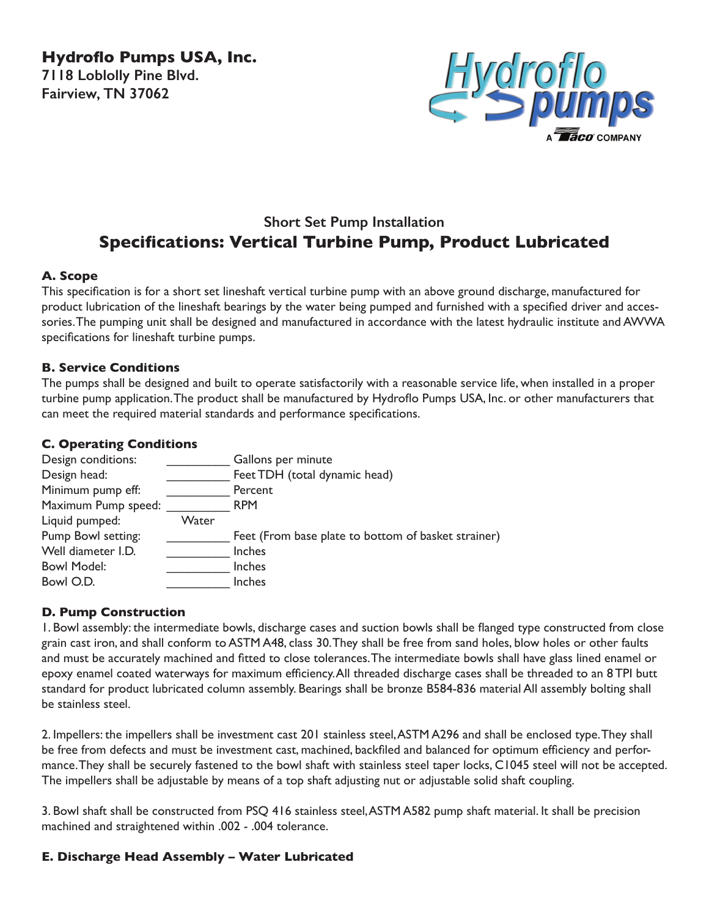**Hydroflo Pumps USA, Inc. 7118 Loblolly Pine Blvd. Fairview, TN 37062**



# **Short Set Pump Installation Specifications: Vertical Turbine Pump, Product Lubricated**

## **A. Scope**

This specification is for a short set lineshaft vertical turbine pump with an above ground discharge, manufactured for product lubrication of the lineshaft bearings by the water being pumped and furnished with a specified driver and accessories. The pumping unit shall be designed and manufactured in accordance with the latest hydraulic institute and AWWA specifications for lineshaft turbine pumps.

#### **B. Service Conditions**

The pumps shall be designed and built to operate satisfactorily with a reasonable service life, when installed in a proper turbine pump application. The product shall be manufactured by Hydroflo Pumps USA, Inc. or other manufacturers that can meet the required material standards and performance specifications.

### **C. Operating Conditions**

| Design conditions:  |       | Gallons per minute                                  |
|---------------------|-------|-----------------------------------------------------|
| Design head:        |       | Feet TDH (total dynamic head)                       |
| Minimum pump eff:   |       | Percent                                             |
| Maximum Pump speed: |       | <b>RPM</b>                                          |
| Liquid pumped:      | Water |                                                     |
| Pump Bowl setting:  |       | Feet (From base plate to bottom of basket strainer) |
| Well diameter I.D.  |       | Inches                                              |
| <b>Bowl Model:</b>  |       | Inches                                              |
| Bowl O.D.           |       | Inches                                              |
|                     |       |                                                     |

## **D. Pump Construction**

1. Bowl assembly: the intermediate bowls, discharge cases and suction bowls shall be flanged type constructed from close grain cast iron, and shall conform to ASTM A48, class 30. They shall be free from sand holes, blow holes or other faults and must be accurately machined and fitted to close tolerances. The intermediate bowls shall have glass lined enamel or epoxy enamel coated waterways for maximum efficiency. All threaded discharge cases shall be threaded to an 8 TPI butt standard for product lubricated column assembly. Bearings shall be bronze B584-836 material All assembly bolting shall be stainless steel.

2. Impellers: the impellers shall be investment cast 201 stainless steel, ASTM A296 and shall be enclosed type. They shall be free from defects and must be investment cast, machined, backfiled and balanced for optimum efficiency and performance. They shall be securely fastened to the bowl shaft with stainless steel taper locks, C1045 steel will not be accepted. The impellers shall be adjustable by means of a top shaft adjusting nut or adjustable solid shaft coupling.

3. Bowl shaft shall be constructed from PSQ 416 stainless steel, ASTM A582 pump shaft material. It shall be precision machined and straightened within .002 - .004 tolerance.

## **E. Discharge Head Assembly – Water Lubricated**